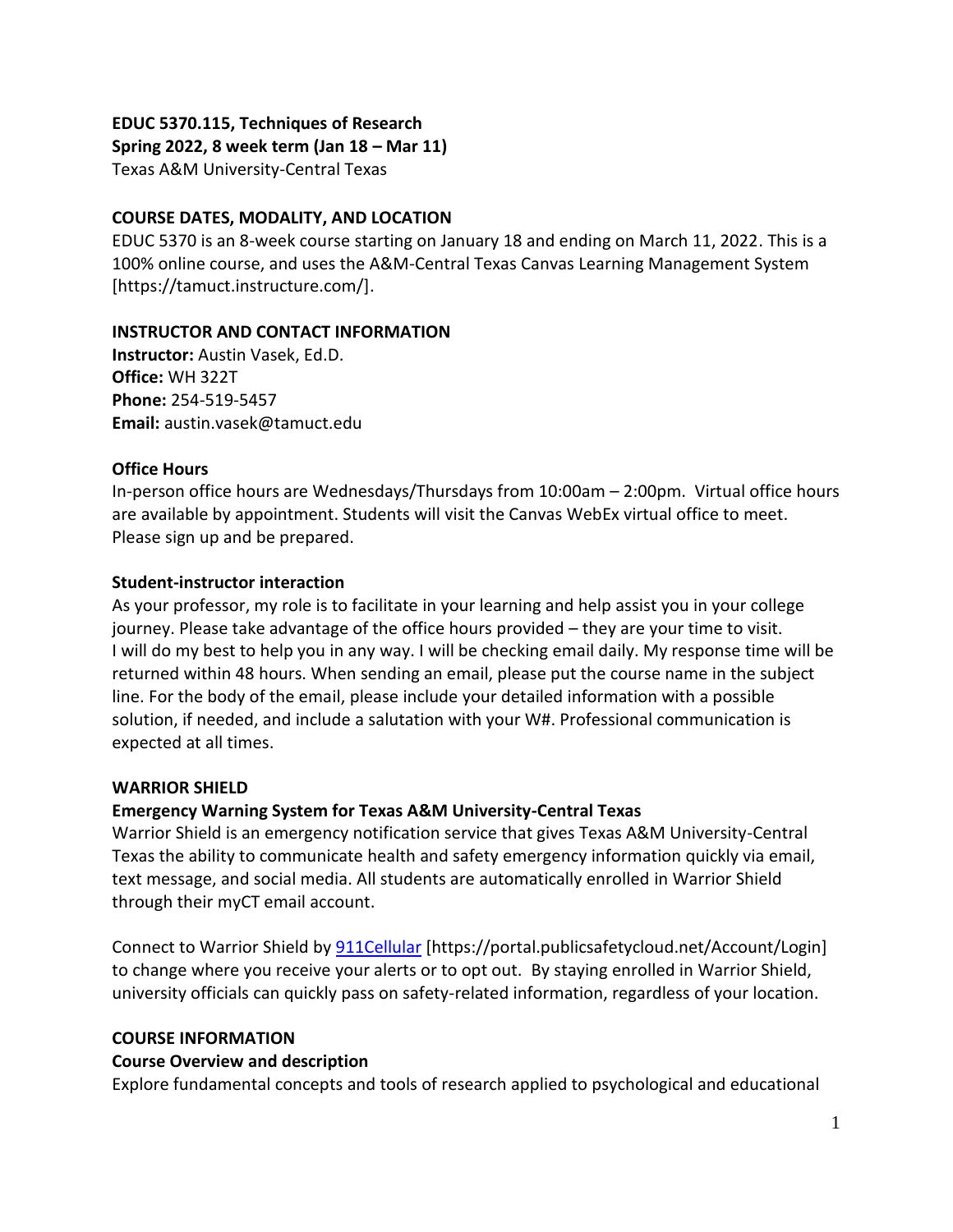# **EDUC 5370.115, Techniques of Research**

**Spring 2022, 8 week term (Jan 18 – Mar 11)**

Texas A&M University-Central Texas

#### **COURSE DATES, MODALITY, AND LOCATION**

EDUC 5370 is an 8-week course starting on January 18 and ending on March 11, 2022. This is a 100% online course, and uses the A&M-Central Texas Canvas Learning Management System [https://tamuct.instructure.com/].

#### **INSTRUCTOR AND CONTACT INFORMATION**

**Instructor:** Austin Vasek, Ed.D. **Office:** WH 322T **Phone:** 254-519-5457 **Email:** austin.vasek@tamuct.edu

# **Office Hours**

In-person office hours are Wednesdays/Thursdays from 10:00am – 2:00pm. Virtual office hours are available by appointment. Students will visit the Canvas WebEx virtual office to meet. Please sign up and be prepared.

# **Student-instructor interaction**

As your professor, my role is to facilitate in your learning and help assist you in your college journey. Please take advantage of the office hours provided – they are your time to visit. I will do my best to help you in any way. I will be checking email daily. My response time will be returned within 48 hours. When sending an email, please put the course name in the subject line. For the body of the email, please include your detailed information with a possible solution, if needed, and include a salutation with your W#. Professional communication is expected at all times.

#### **WARRIOR SHIELD**

# **Emergency Warning System for Texas A&M University-Central Texas**

Warrior Shield is an emergency notification service that gives Texas A&M University-Central Texas the ability to communicate health and safety emergency information quickly via email, text message, and social media. All students are automatically enrolled in Warrior Shield through their myCT email account.

Connect to Warrior Shield b[y 911Cellular](https://portal.publicsafetycloud.net/Texas-AM-Central/alert-management) [https://portal.publicsafetycloud.net/Account/Login] to change where you receive your alerts or to opt out. By staying enrolled in Warrior Shield, university officials can quickly pass on safety-related information, regardless of your location.

#### **COURSE INFORMATION**

#### **Course Overview and description**

Explore fundamental concepts and tools of research applied to psychological and educational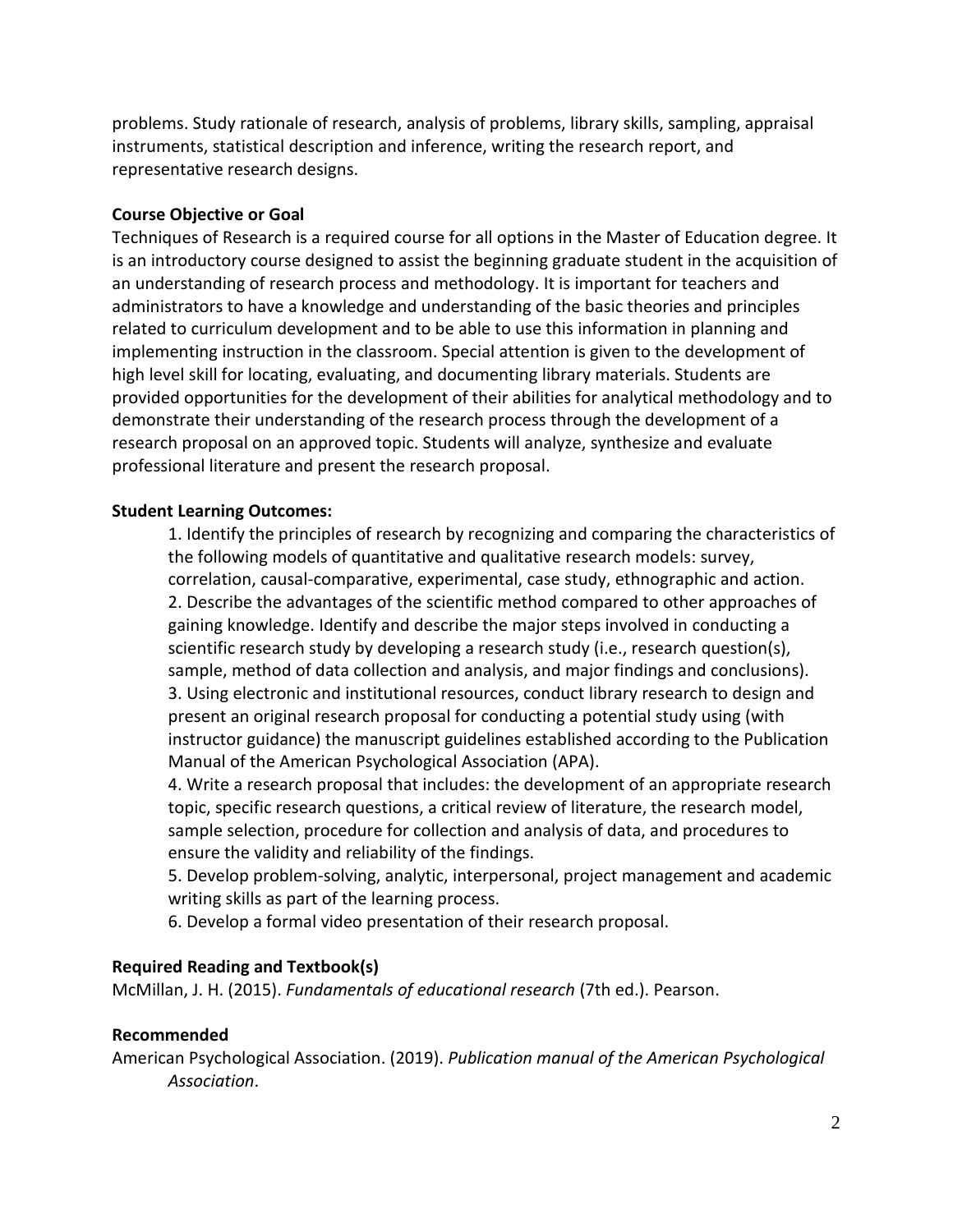problems. Study rationale of research, analysis of problems, library skills, sampling, appraisal instruments, statistical description and inference, writing the research report, and representative research designs.

# **Course Objective or Goal**

Techniques of Research is a required course for all options in the Master of Education degree. It is an introductory course designed to assist the beginning graduate student in the acquisition of an understanding of research process and methodology. It is important for teachers and administrators to have a knowledge and understanding of the basic theories and principles related to curriculum development and to be able to use this information in planning and implementing instruction in the classroom. Special attention is given to the development of high level skill for locating, evaluating, and documenting library materials. Students are provided opportunities for the development of their abilities for analytical methodology and to demonstrate their understanding of the research process through the development of a research proposal on an approved topic. Students will analyze, synthesize and evaluate professional literature and present the research proposal.

# **Student Learning Outcomes:**

1. Identify the principles of research by recognizing and comparing the characteristics of the following models of quantitative and qualitative research models: survey, correlation, causal-comparative, experimental, case study, ethnographic and action. 2. Describe the advantages of the scientific method compared to other approaches of gaining knowledge. Identify and describe the major steps involved in conducting a scientific research study by developing a research study (i.e., research question(s), sample, method of data collection and analysis, and major findings and conclusions). 3. Using electronic and institutional resources, conduct library research to design and present an original research proposal for conducting a potential study using (with instructor guidance) the manuscript guidelines established according to the Publication Manual of the American Psychological Association (APA).

4. Write a research proposal that includes: the development of an appropriate research topic, specific research questions, a critical review of literature, the research model, sample selection, procedure for collection and analysis of data, and procedures to ensure the validity and reliability of the findings.

5. Develop problem-solving, analytic, interpersonal, project management and academic writing skills as part of the learning process.

6. Develop a formal video presentation of their research proposal.

#### **Required Reading and Textbook(s)**

McMillan, J. H. (2015). *Fundamentals of educational research* (7th ed.). Pearson.

#### **Recommended**

American Psychological Association. (2019). *Publication manual of the American Psychological Association*.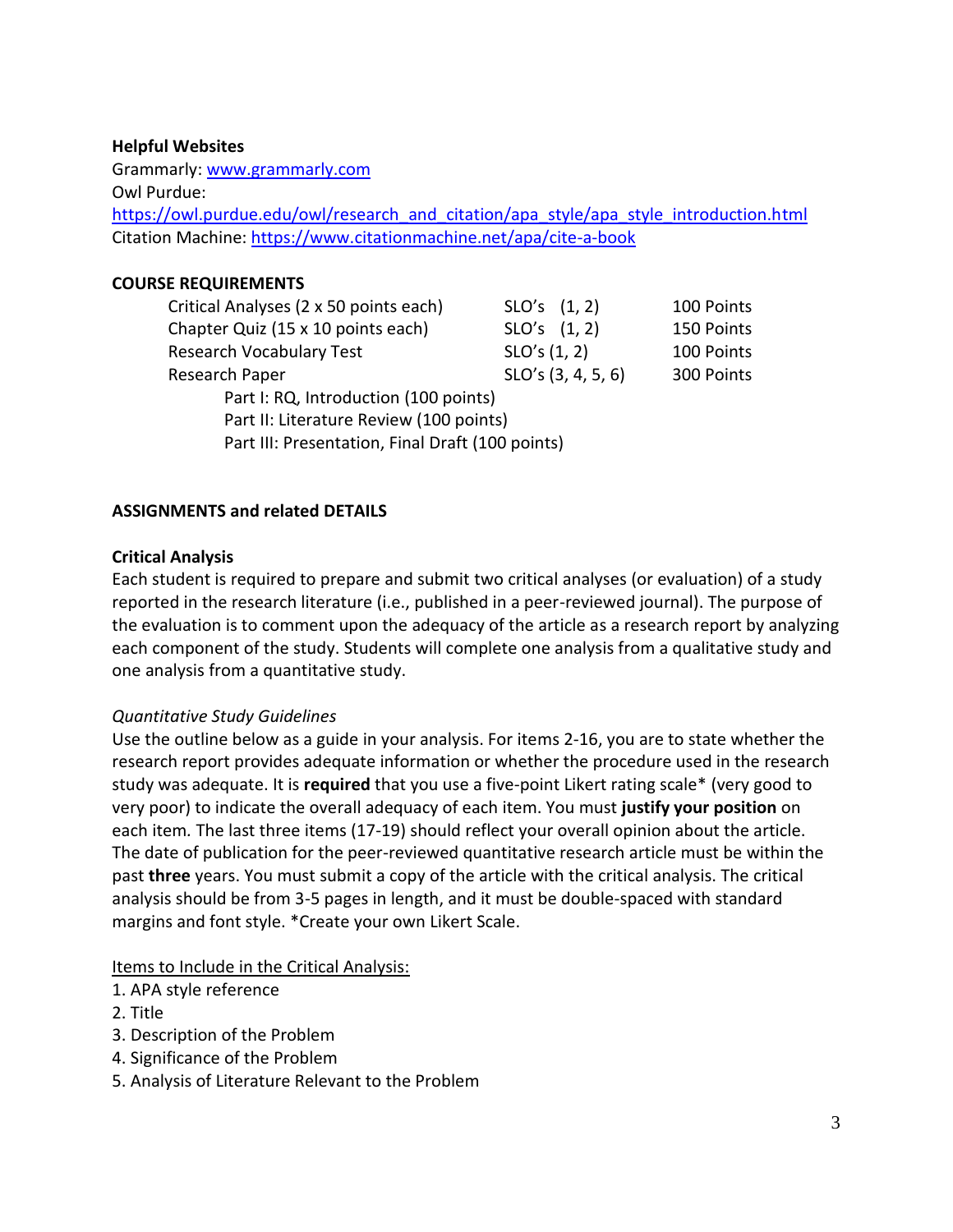## **Helpful Websites**

Grammarly[: www.grammarly.com](http://www.grammarly.com/) Owl Purdue: [https://owl.purdue.edu/owl/research\\_and\\_citation/apa\\_style/apa\\_style\\_introduction.html](https://owl.purdue.edu/owl/research_and_citation/apa_style/apa_style_introduction.html) Citation Machine: https://www.citationmachine.net/apa/cite-a-book

# **COURSE REQUIREMENTS**

| Critical Analyses (2 x 50 points each)           | $SLO's$ $(1, 2)$   | 100 Points |
|--------------------------------------------------|--------------------|------------|
| Chapter Quiz (15 x 10 points each)               | SLO's (1, 2)       | 150 Points |
| <b>Research Vocabulary Test</b>                  | SLO's (1, 2)       | 100 Points |
| Research Paper                                   | SLO's (3, 4, 5, 6) | 300 Points |
| Part I: RQ, Introduction (100 points)            |                    |            |
| Part II: Literature Review (100 points)          |                    |            |
| Part III: Presentation, Final Draft (100 points) |                    |            |

# **ASSIGNMENTS and related DETAILS**

# **Critical Analysis**

Each student is required to prepare and submit two critical analyses (or evaluation) of a study reported in the research literature (i.e., published in a peer-reviewed journal). The purpose of the evaluation is to comment upon the adequacy of the article as a research report by analyzing each component of the study. Students will complete one analysis from a qualitative study and one analysis from a quantitative study.

# *Quantitative Study Guidelines*

Use the outline below as a guide in your analysis. For items 2-16, you are to state whether the research report provides adequate information or whether the procedure used in the research study was adequate. It is **required** that you use a five-point Likert rating scale\* (very good to very poor) to indicate the overall adequacy of each item. You must **justify your position** on each item*.* The last three items (17-19) should reflect your overall opinion about the article. The date of publication for the peer-reviewed quantitative research article must be within the past **three** years. You must submit a copy of the article with the critical analysis. The critical analysis should be from 3-5 pages in length, and it must be double-spaced with standard margins and font style. \*Create your own Likert Scale.

#### Items to Include in the Critical Analysis:

- 1. APA style reference
- 2. Title
- 3. Description of the Problem
- 4. Significance of the Problem
- 5. Analysis of Literature Relevant to the Problem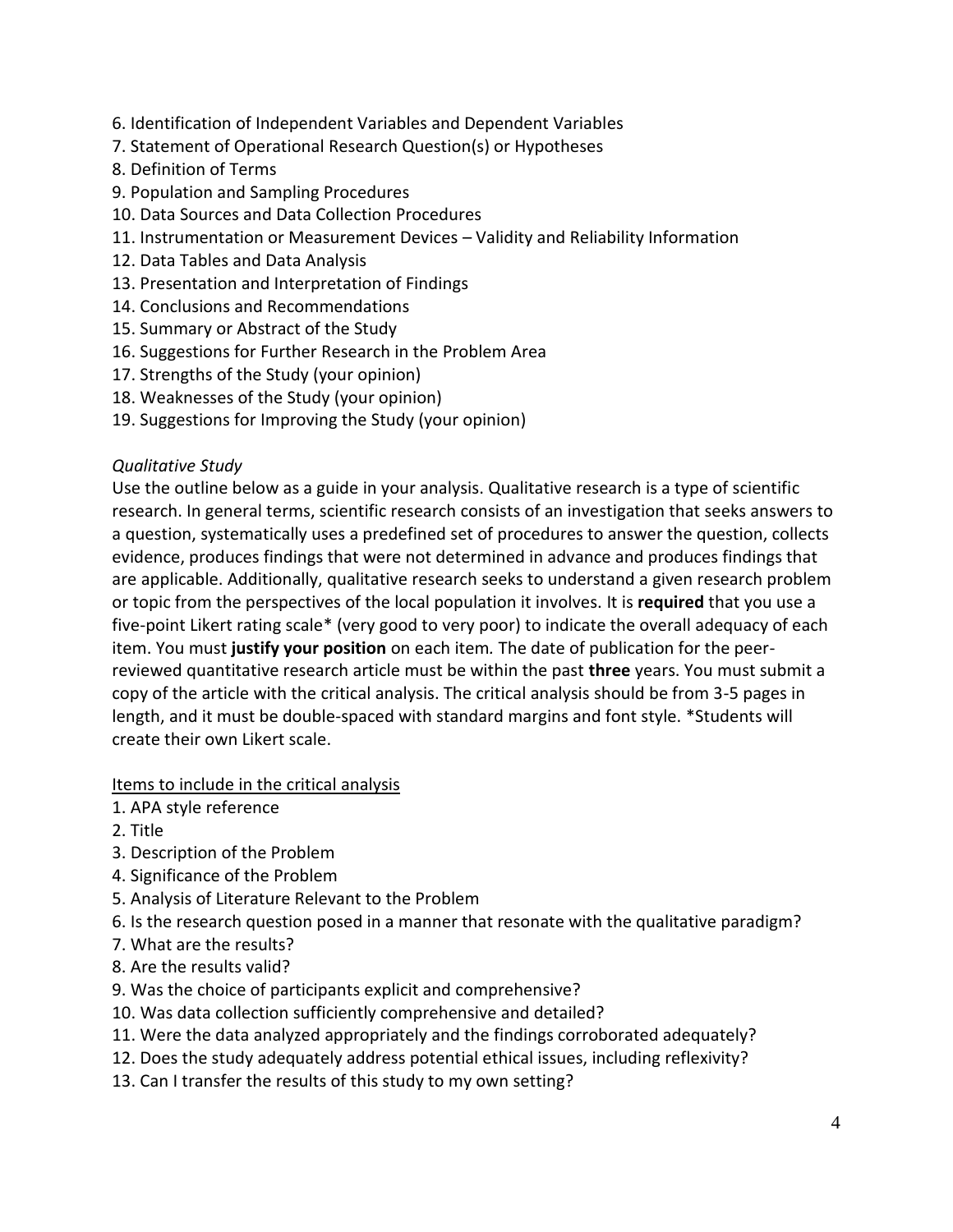- 6. Identification of Independent Variables and Dependent Variables
- 7. Statement of Operational Research Question(s) or Hypotheses
- 8. Definition of Terms
- 9. Population and Sampling Procedures
- 10. Data Sources and Data Collection Procedures
- 11. Instrumentation or Measurement Devices Validity and Reliability Information
- 12. Data Tables and Data Analysis
- 13. Presentation and Interpretation of Findings
- 14. Conclusions and Recommendations
- 15. Summary or Abstract of the Study
- 16. Suggestions for Further Research in the Problem Area
- 17. Strengths of the Study (your opinion)
- 18. Weaknesses of the Study (your opinion)
- 19. Suggestions for Improving the Study (your opinion)

# *Qualitative Study*

Use the outline below as a guide in your analysis. Qualitative research is a type of scientific research. In general terms, scientific research consists of an investigation that seeks answers to a question, systematically uses a predefined set of procedures to answer the question, collects evidence, produces findings that were not determined in advance and produces findings that are applicable. Additionally, qualitative research seeks to understand a given research problem or topic from the perspectives of the local population it involves. It is **required** that you use a five-point Likert rating scale\* (very good to very poor) to indicate the overall adequacy of each item. You must **justify your position** on each item*.* The date of publication for the peerreviewed quantitative research article must be within the past **three** years. You must submit a copy of the article with the critical analysis. The critical analysis should be from 3-5 pages in length, and it must be double-spaced with standard margins and font style. \*Students will create their own Likert scale.

# Items to include in the critical analysis

- 1. APA style reference
- 2. Title
- 3. Description of the Problem
- 4. Significance of the Problem
- 5. Analysis of Literature Relevant to the Problem
- 6. Is the research question posed in a manner that resonate with the qualitative paradigm?
- 7. What are the results?
- 8. Are the results valid?
- 9. Was the choice of participants explicit and comprehensive?
- 10. Was data collection sufficiently comprehensive and detailed?
- 11. Were the data analyzed appropriately and the findings corroborated adequately?
- 12. Does the study adequately address potential ethical issues, including reflexivity?
- 13. Can I transfer the results of this study to my own setting?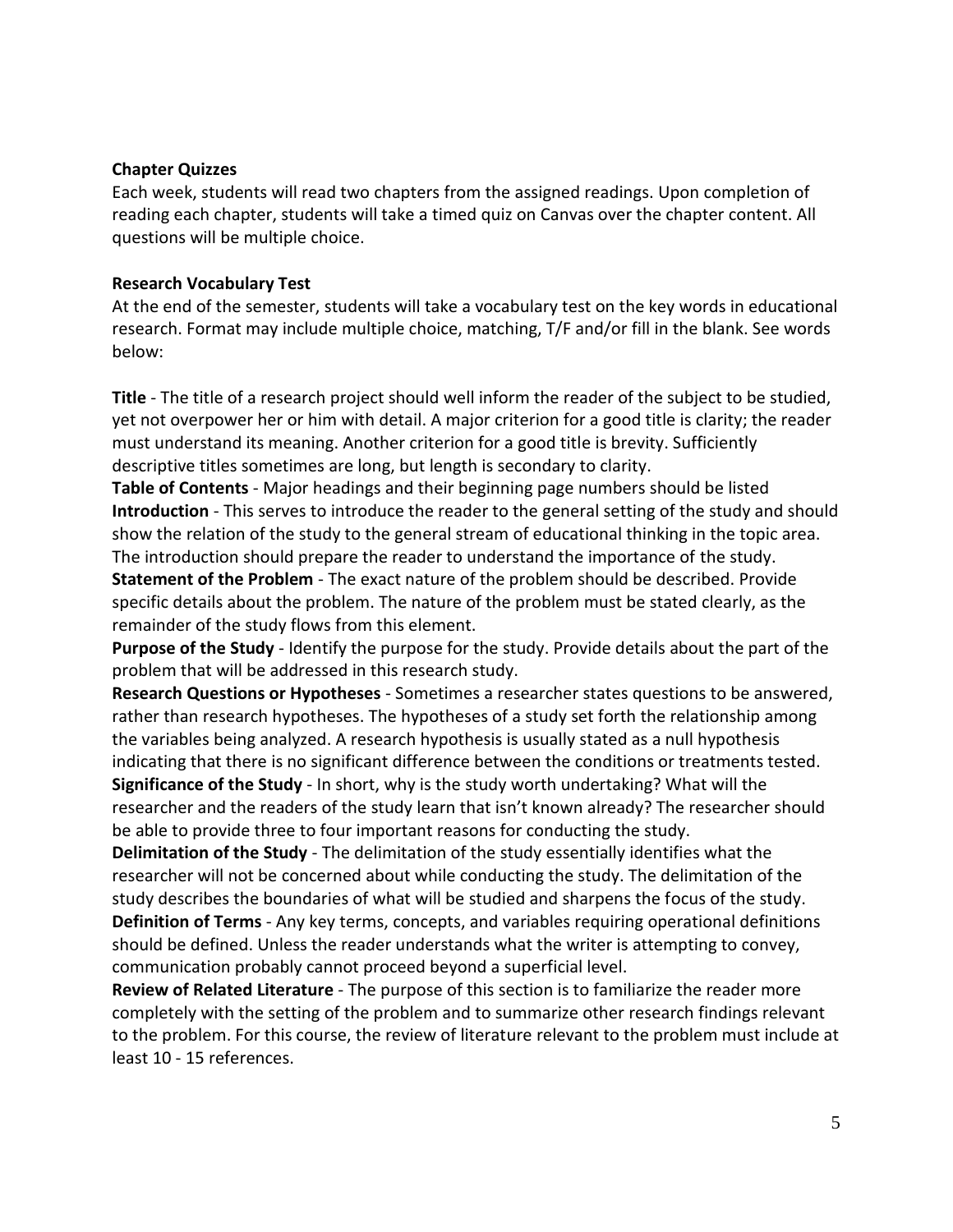#### **Chapter Quizzes**

Each week, students will read two chapters from the assigned readings. Upon completion of reading each chapter, students will take a timed quiz on Canvas over the chapter content. All questions will be multiple choice.

# **Research Vocabulary Test**

At the end of the semester, students will take a vocabulary test on the key words in educational research. Format may include multiple choice, matching, T/F and/or fill in the blank. See words below:

**Title** - The title of a research project should well inform the reader of the subject to be studied, yet not overpower her or him with detail. A major criterion for a good title is clarity; the reader must understand its meaning. Another criterion for a good title is brevity. Sufficiently descriptive titles sometimes are long, but length is secondary to clarity.

**Table of Contents** - Major headings and their beginning page numbers should be listed **Introduction** - This serves to introduce the reader to the general setting of the study and should show the relation of the study to the general stream of educational thinking in the topic area. The introduction should prepare the reader to understand the importance of the study.

**Statement of the Problem** - The exact nature of the problem should be described. Provide specific details about the problem. The nature of the problem must be stated clearly, as the remainder of the study flows from this element.

**Purpose of the Study** - Identify the purpose for the study. Provide details about the part of the problem that will be addressed in this research study.

**Research Questions or Hypotheses** - Sometimes a researcher states questions to be answered, rather than research hypotheses. The hypotheses of a study set forth the relationship among the variables being analyzed. A research hypothesis is usually stated as a null hypothesis indicating that there is no significant difference between the conditions or treatments tested. **Significance of the Study** - In short, why is the study worth undertaking? What will the researcher and the readers of the study learn that isn't known already? The researcher should be able to provide three to four important reasons for conducting the study.

**Delimitation of the Study** - The delimitation of the study essentially identifies what the researcher will not be concerned about while conducting the study. The delimitation of the study describes the boundaries of what will be studied and sharpens the focus of the study. **Definition of Terms** - Any key terms, concepts, and variables requiring operational definitions should be defined. Unless the reader understands what the writer is attempting to convey, communication probably cannot proceed beyond a superficial level.

**Review of Related Literature** - The purpose of this section is to familiarize the reader more completely with the setting of the problem and to summarize other research findings relevant to the problem. For this course, the review of literature relevant to the problem must include at least 10 - 15 references.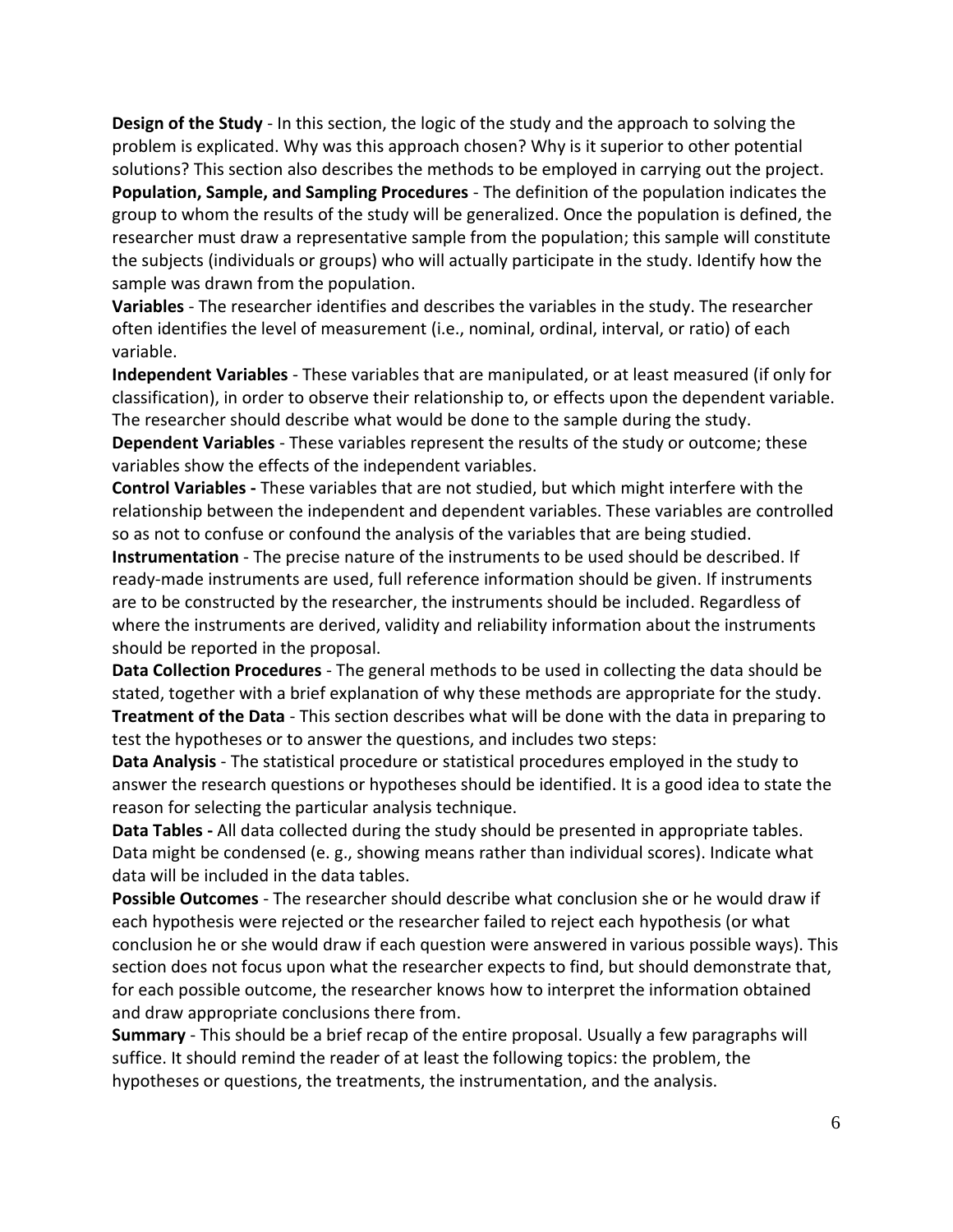**Design of the Study** - In this section, the logic of the study and the approach to solving the problem is explicated. Why was this approach chosen? Why is it superior to other potential solutions? This section also describes the methods to be employed in carrying out the project. **Population, Sample, and Sampling Procedures** - The definition of the population indicates the group to whom the results of the study will be generalized. Once the population is defined, the researcher must draw a representative sample from the population; this sample will constitute the subjects (individuals or groups) who will actually participate in the study. Identify how the sample was drawn from the population.

**Variables** - The researcher identifies and describes the variables in the study. The researcher often identifies the level of measurement (i.e., nominal, ordinal, interval, or ratio) of each variable.

**Independent Variables** - These variables that are manipulated, or at least measured (if only for classification), in order to observe their relationship to, or effects upon the dependent variable. The researcher should describe what would be done to the sample during the study.

**Dependent Variables** - These variables represent the results of the study or outcome; these variables show the effects of the independent variables.

**Control Variables -** These variables that are not studied, but which might interfere with the relationship between the independent and dependent variables. These variables are controlled so as not to confuse or confound the analysis of the variables that are being studied.

**Instrumentation** - The precise nature of the instruments to be used should be described. If ready-made instruments are used, full reference information should be given. If instruments are to be constructed by the researcher, the instruments should be included. Regardless of where the instruments are derived, validity and reliability information about the instruments should be reported in the proposal.

**Data Collection Procedures** - The general methods to be used in collecting the data should be stated, together with a brief explanation of why these methods are appropriate for the study. **Treatment of the Data** - This section describes what will be done with the data in preparing to test the hypotheses or to answer the questions, and includes two steps:

**Data Analysis** - The statistical procedure or statistical procedures employed in the study to answer the research questions or hypotheses should be identified. It is a good idea to state the reason for selecting the particular analysis technique.

**Data Tables -** All data collected during the study should be presented in appropriate tables. Data might be condensed (e. g., showing means rather than individual scores). Indicate what data will be included in the data tables.

**Possible Outcomes** - The researcher should describe what conclusion she or he would draw if each hypothesis were rejected or the researcher failed to reject each hypothesis (or what conclusion he or she would draw if each question were answered in various possible ways). This section does not focus upon what the researcher expects to find, but should demonstrate that, for each possible outcome, the researcher knows how to interpret the information obtained and draw appropriate conclusions there from.

**Summary** - This should be a brief recap of the entire proposal. Usually a few paragraphs will suffice. It should remind the reader of at least the following topics: the problem, the hypotheses or questions, the treatments, the instrumentation, and the analysis.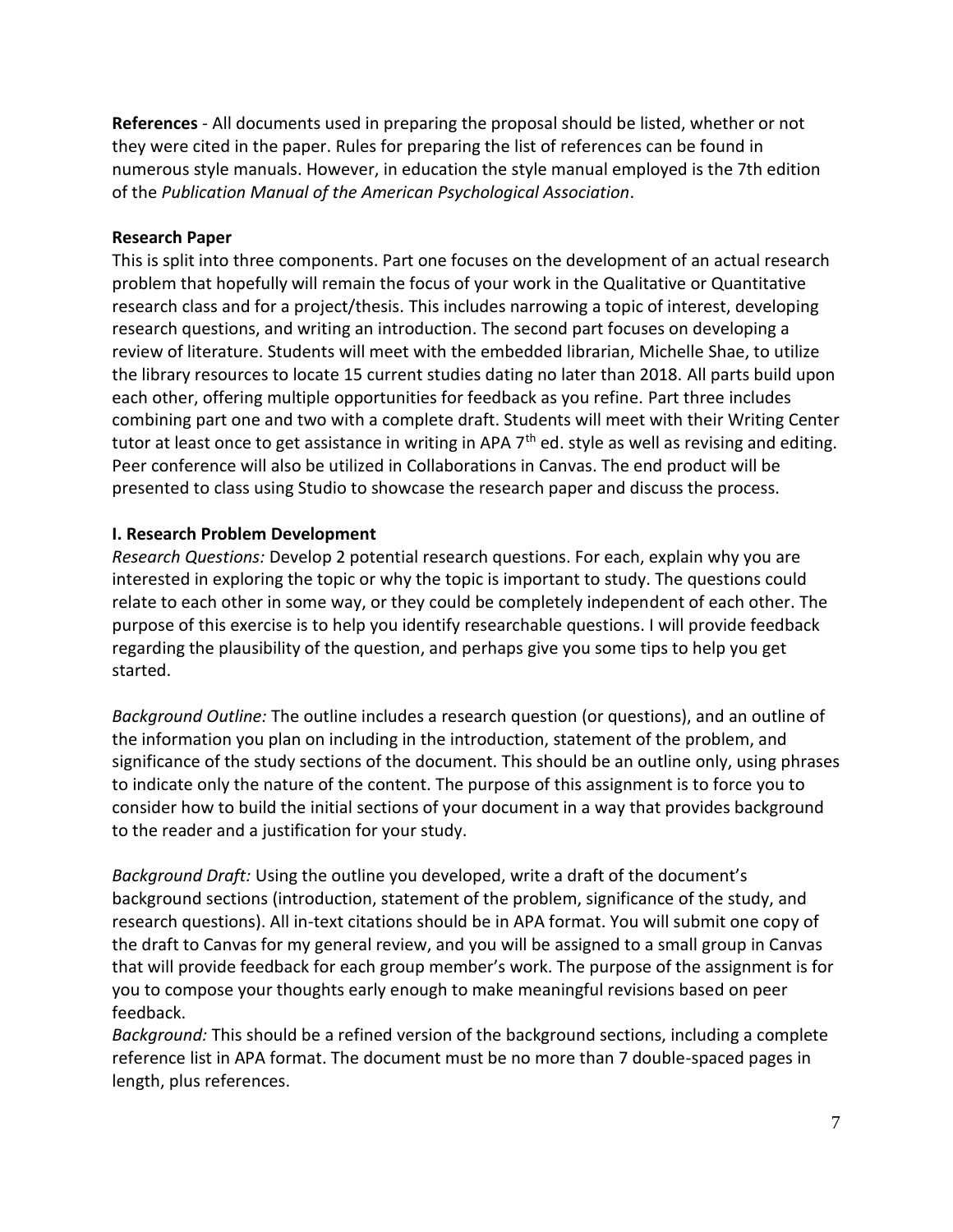**References** - All documents used in preparing the proposal should be listed, whether or not they were cited in the paper. Rules for preparing the list of references can be found in numerous style manuals. However, in education the style manual employed is the 7th edition of the *Publication Manual of the American Psychological Association*.

#### **Research Paper**

This is split into three components. Part one focuses on the development of an actual research problem that hopefully will remain the focus of your work in the Qualitative or Quantitative research class and for a project/thesis. This includes narrowing a topic of interest, developing research questions, and writing an introduction. The second part focuses on developing a review of literature. Students will meet with the embedded librarian, Michelle Shae, to utilize the library resources to locate 15 current studies dating no later than 2018. All parts build upon each other, offering multiple opportunities for feedback as you refine. Part three includes combining part one and two with a complete draft. Students will meet with their Writing Center tutor at least once to get assistance in writing in APA 7<sup>th</sup> ed. style as well as revising and editing. Peer conference will also be utilized in Collaborations in Canvas. The end product will be presented to class using Studio to showcase the research paper and discuss the process.

#### **I. Research Problem Development**

*Research Questions:* Develop 2 potential research questions. For each, explain why you are interested in exploring the topic or why the topic is important to study. The questions could relate to each other in some way, or they could be completely independent of each other. The purpose of this exercise is to help you identify researchable questions. I will provide feedback regarding the plausibility of the question, and perhaps give you some tips to help you get started.

*Background Outline:* The outline includes a research question (or questions), and an outline of the information you plan on including in the introduction, statement of the problem, and significance of the study sections of the document. This should be an outline only, using phrases to indicate only the nature of the content. The purpose of this assignment is to force you to consider how to build the initial sections of your document in a way that provides background to the reader and a justification for your study.

*Background Draft:* Using the outline you developed, write a draft of the document's background sections (introduction, statement of the problem, significance of the study, and research questions). All in-text citations should be in APA format. You will submit one copy of the draft to Canvas for my general review, and you will be assigned to a small group in Canvas that will provide feedback for each group member's work. The purpose of the assignment is for you to compose your thoughts early enough to make meaningful revisions based on peer feedback.

*Background:* This should be a refined version of the background sections, including a complete reference list in APA format. The document must be no more than 7 double-spaced pages in length, plus references.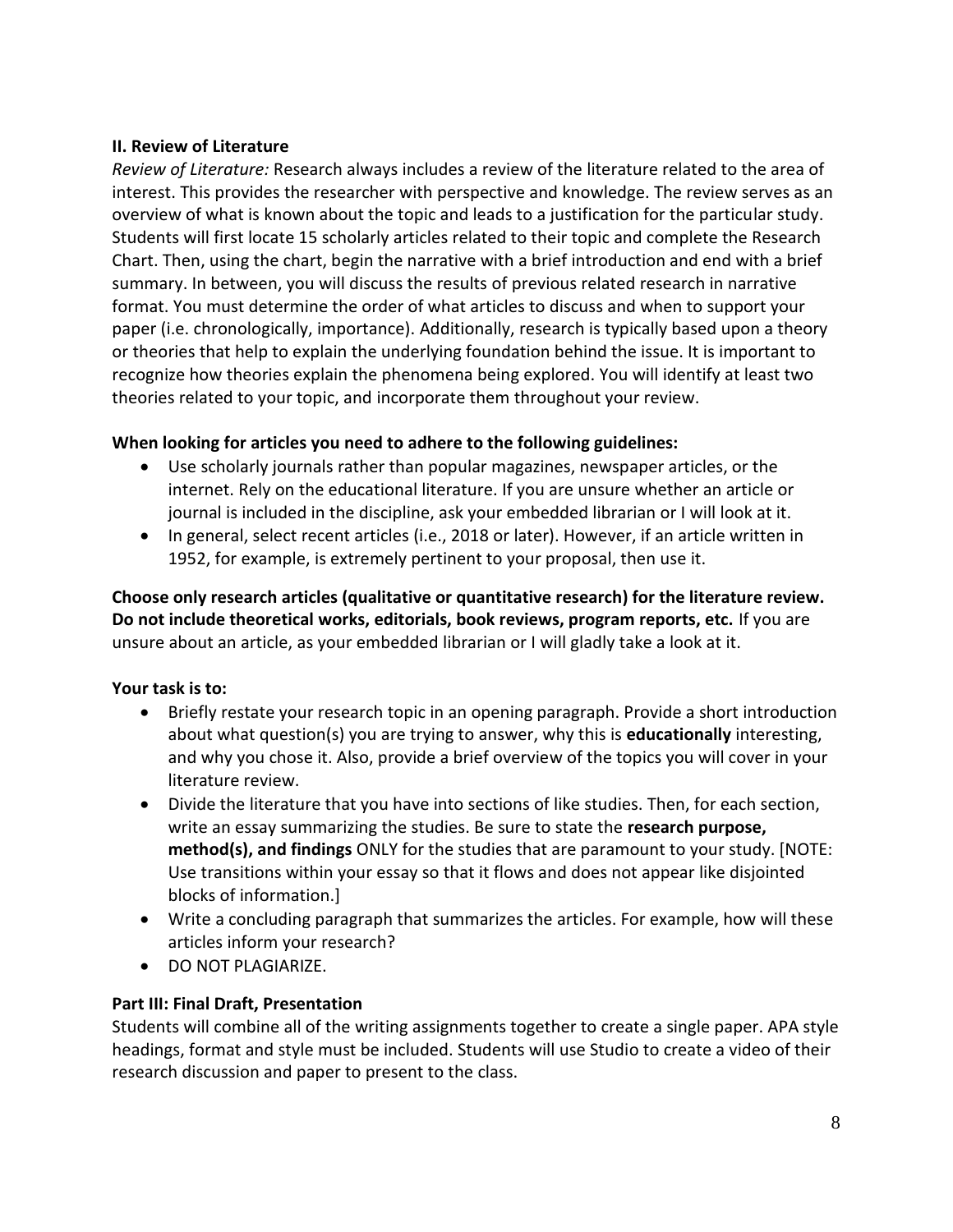# **II. Review of Literature**

*Review of Literature:* Research always includes a review of the literature related to the area of interest. This provides the researcher with perspective and knowledge. The review serves as an overview of what is known about the topic and leads to a justification for the particular study. Students will first locate 15 scholarly articles related to their topic and complete the Research Chart. Then, using the chart, begin the narrative with a brief introduction and end with a brief summary. In between, you will discuss the results of previous related research in narrative format. You must determine the order of what articles to discuss and when to support your paper (i.e. chronologically, importance). Additionally, research is typically based upon a theory or theories that help to explain the underlying foundation behind the issue. It is important to recognize how theories explain the phenomena being explored. You will identify at least two theories related to your topic, and incorporate them throughout your review.

# **When looking for articles you need to adhere to the following guidelines:**

- Use scholarly journals rather than popular magazines, newspaper articles, or the internet. Rely on the educational literature. If you are unsure whether an article or journal is included in the discipline, ask your embedded librarian or I will look at it.
- In general, select recent articles (i.e., 2018 or later). However, if an article written in 1952, for example, is extremely pertinent to your proposal, then use it.

**Choose only research articles (qualitative or quantitative research) for the literature review. Do not include theoretical works, editorials, book reviews, program reports, etc.** If you are unsure about an article, as your embedded librarian or I will gladly take a look at it.

# **Your task is to:**

- Briefly restate your research topic in an opening paragraph. Provide a short introduction about what question(s) you are trying to answer, why this is **educationally** interesting, and why you chose it. Also, provide a brief overview of the topics you will cover in your literature review.
- Divide the literature that you have into sections of like studies. Then, for each section, write an essay summarizing the studies. Be sure to state the **research purpose, method(s), and findings** ONLY for the studies that are paramount to your study. [NOTE: Use transitions within your essay so that it flows and does not appear like disjointed blocks of information.]
- Write a concluding paragraph that summarizes the articles. For example, how will these articles inform your research?
- DO NOT PLAGIARIZE.

# **Part III: Final Draft, Presentation**

Students will combine all of the writing assignments together to create a single paper. APA style headings, format and style must be included. Students will use Studio to create a video of their research discussion and paper to present to the class.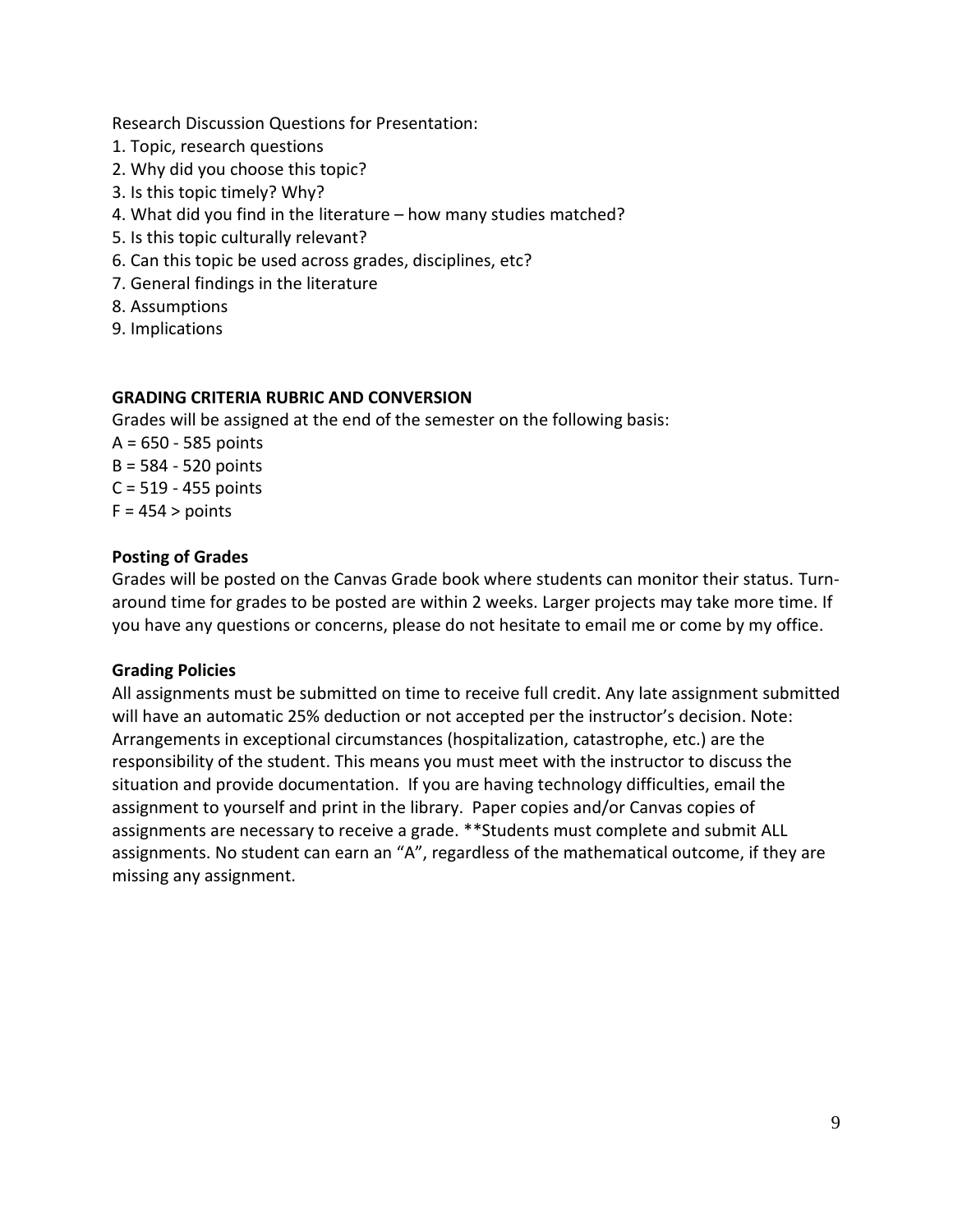Research Discussion Questions for Presentation:

- 1. Topic, research questions
- 2. Why did you choose this topic?
- 3. Is this topic timely? Why?
- 4. What did you find in the literature how many studies matched?
- 5. Is this topic culturally relevant?
- 6. Can this topic be used across grades, disciplines, etc?
- 7. General findings in the literature
- 8. Assumptions
- 9. Implications

# **GRADING CRITERIA RUBRIC AND CONVERSION**

Grades will be assigned at the end of the semester on the following basis:

A = 650 - 585 points B = 584 - 520 points C = 519 - 455 points  $F = 454$  > points

# **Posting of Grades**

Grades will be posted on the Canvas Grade book where students can monitor their status. Turnaround time for grades to be posted are within 2 weeks. Larger projects may take more time. If you have any questions or concerns, please do not hesitate to email me or come by my office.

#### **Grading Policies**

All assignments must be submitted on time to receive full credit. Any late assignment submitted will have an automatic 25% deduction or not accepted per the instructor's decision. Note: Arrangements in exceptional circumstances (hospitalization, catastrophe, etc.) are the responsibility of the student. This means you must meet with the instructor to discuss the situation and provide documentation. If you are having technology difficulties, email the assignment to yourself and print in the library. Paper copies and/or Canvas copies of assignments are necessary to receive a grade. \*\*Students must complete and submit ALL assignments. No student can earn an "A", regardless of the mathematical outcome, if they are missing any assignment.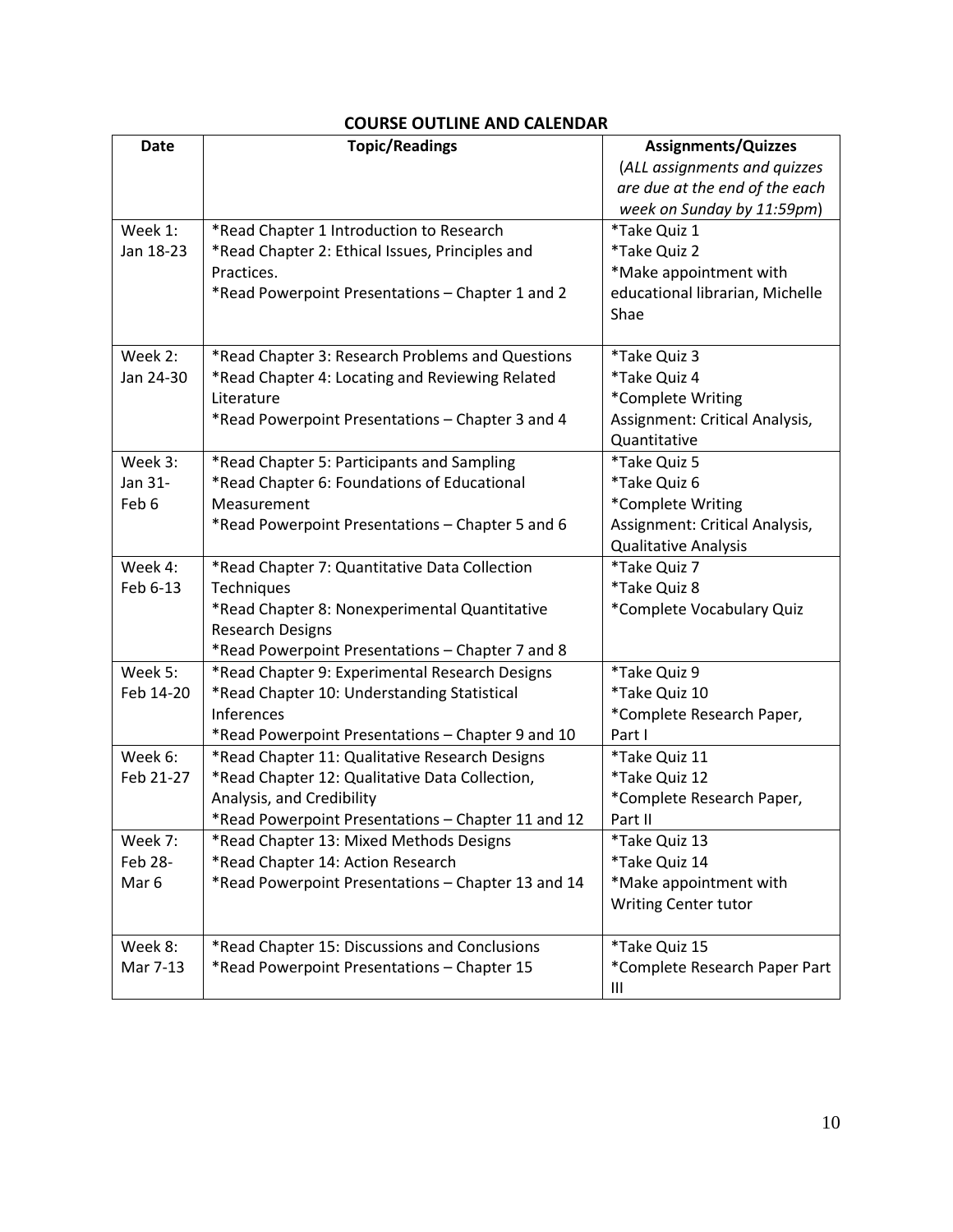# **COURSE OUTLINE AND CALENDAR**

| <b>Date</b>      | <b>Topic/Readings</b>                              | <b>Assignments/Quizzes</b>      |
|------------------|----------------------------------------------------|---------------------------------|
|                  |                                                    | (ALL assignments and quizzes    |
|                  |                                                    | are due at the end of the each  |
|                  |                                                    | week on Sunday by 11:59pm)      |
| Week 1:          | *Read Chapter 1 Introduction to Research           | *Take Quiz 1                    |
| Jan 18-23        | *Read Chapter 2: Ethical Issues, Principles and    | *Take Quiz 2                    |
|                  | Practices.                                         | *Make appointment with          |
|                  | *Read Powerpoint Presentations - Chapter 1 and 2   | educational librarian, Michelle |
|                  |                                                    | Shae                            |
|                  |                                                    |                                 |
| Week 2:          | *Read Chapter 3: Research Problems and Questions   | *Take Quiz 3                    |
| Jan 24-30        | *Read Chapter 4: Locating and Reviewing Related    | *Take Quiz 4                    |
|                  | Literature                                         | *Complete Writing               |
|                  | *Read Powerpoint Presentations - Chapter 3 and 4   | Assignment: Critical Analysis,  |
|                  |                                                    | Quantitative                    |
| Week 3:          | *Read Chapter 5: Participants and Sampling         | *Take Quiz 5                    |
| Jan 31-          | *Read Chapter 6: Foundations of Educational        | *Take Quiz 6                    |
| Feb 6            | Measurement                                        | *Complete Writing               |
|                  | *Read Powerpoint Presentations - Chapter 5 and 6   | Assignment: Critical Analysis,  |
|                  |                                                    | Qualitative Analysis            |
| Week 4:          | *Read Chapter 7: Quantitative Data Collection      | *Take Quiz 7                    |
| Feb 6-13         | Techniques                                         | *Take Quiz 8                    |
|                  | *Read Chapter 8: Nonexperimental Quantitative      | *Complete Vocabulary Quiz       |
|                  | <b>Research Designs</b>                            |                                 |
|                  | *Read Powerpoint Presentations - Chapter 7 and 8   |                                 |
| Week 5:          | *Read Chapter 9: Experimental Research Designs     | *Take Quiz 9                    |
| Feb 14-20        | *Read Chapter 10: Understanding Statistical        | *Take Quiz 10                   |
|                  | <b>Inferences</b>                                  | *Complete Research Paper,       |
|                  | *Read Powerpoint Presentations - Chapter 9 and 10  | Part I                          |
| Week 6:          | *Read Chapter 11: Qualitative Research Designs     | *Take Quiz 11                   |
| Feb 21-27        | *Read Chapter 12: Qualitative Data Collection,     | *Take Quiz 12                   |
|                  | Analysis, and Credibility                          | *Complete Research Paper,       |
|                  | *Read Powerpoint Presentations - Chapter 11 and 12 | Part II                         |
| Week 7:          | *Read Chapter 13: Mixed Methods Designs            | *Take Quiz 13                   |
| Feb 28-          | *Read Chapter 14: Action Research                  | *Take Quiz 14                   |
| Mar <sub>6</sub> | *Read Powerpoint Presentations - Chapter 13 and 14 | *Make appointment with          |
|                  |                                                    | <b>Writing Center tutor</b>     |
| Week 8:          | *Read Chapter 15: Discussions and Conclusions      | *Take Quiz 15                   |
| Mar 7-13         | *Read Powerpoint Presentations - Chapter 15        | *Complete Research Paper Part   |
|                  |                                                    | Ш                               |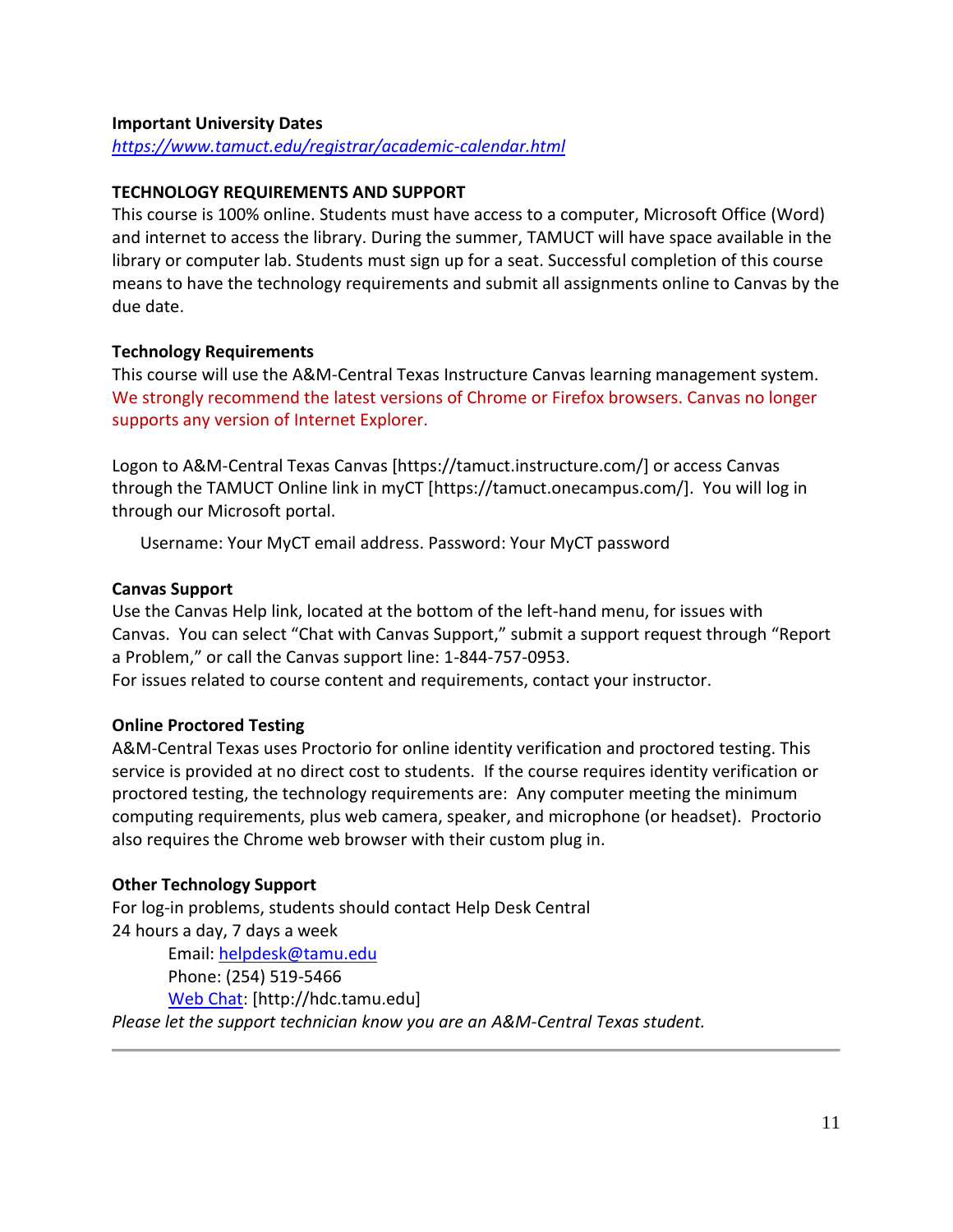#### **Important University Dates**

*<https://www.tamuct.edu/registrar/academic-calendar.html>*

#### **TECHNOLOGY REQUIREMENTS AND SUPPORT**

This course is 100% online. Students must have access to a computer, Microsoft Office (Word) and internet to access the library. During the summer, TAMUCT will have space available in the library or computer lab. Students must sign up for a seat. Successful completion of this course means to have the technology requirements and submit all assignments online to Canvas by the due date.

#### **Technology Requirements**

This course will use the A&M-Central Texas Instructure Canvas learning management system. We strongly recommend the latest versions of Chrome or Firefox browsers. Canvas no longer supports any version of Internet Explorer.

Logon to A&M-Central Texas Canvas [https://tamuct.instructure.com/] or access Canvas through the TAMUCT Online link in myCT [https://tamuct.onecampus.com/]. You will log in through our Microsoft portal.

Username: Your MyCT email address. Password: Your MyCT password

#### **Canvas Support**

Use the Canvas Help link, located at the bottom of the left-hand menu, for issues with Canvas. You can select "Chat with Canvas Support," submit a support request through "Report a Problem," or call the Canvas support line: 1-844-757-0953. For issues related to course content and requirements, contact your instructor.

#### **Online Proctored Testing**

A&M-Central Texas uses Proctorio for online identity verification and proctored testing. This service is provided at no direct cost to students. If the course requires identity verification or proctored testing, the technology requirements are: Any computer meeting the minimum computing requirements, plus web camera, speaker, and microphone (or headset). Proctorio also requires the Chrome web browser with their custom plug in.

#### **Other Technology Support**

For log-in problems, students should contact Help Desk Central 24 hours a day, 7 days a week Email: [helpdesk@tamu.edu](mailto:helpdesk@tamu.edu) Phone: (254) 519-5466 [Web Chat:](http://hdc.tamu.edu/) [http://hdc.tamu.edu] *Please let the support technician know you are an A&M-Central Texas student.*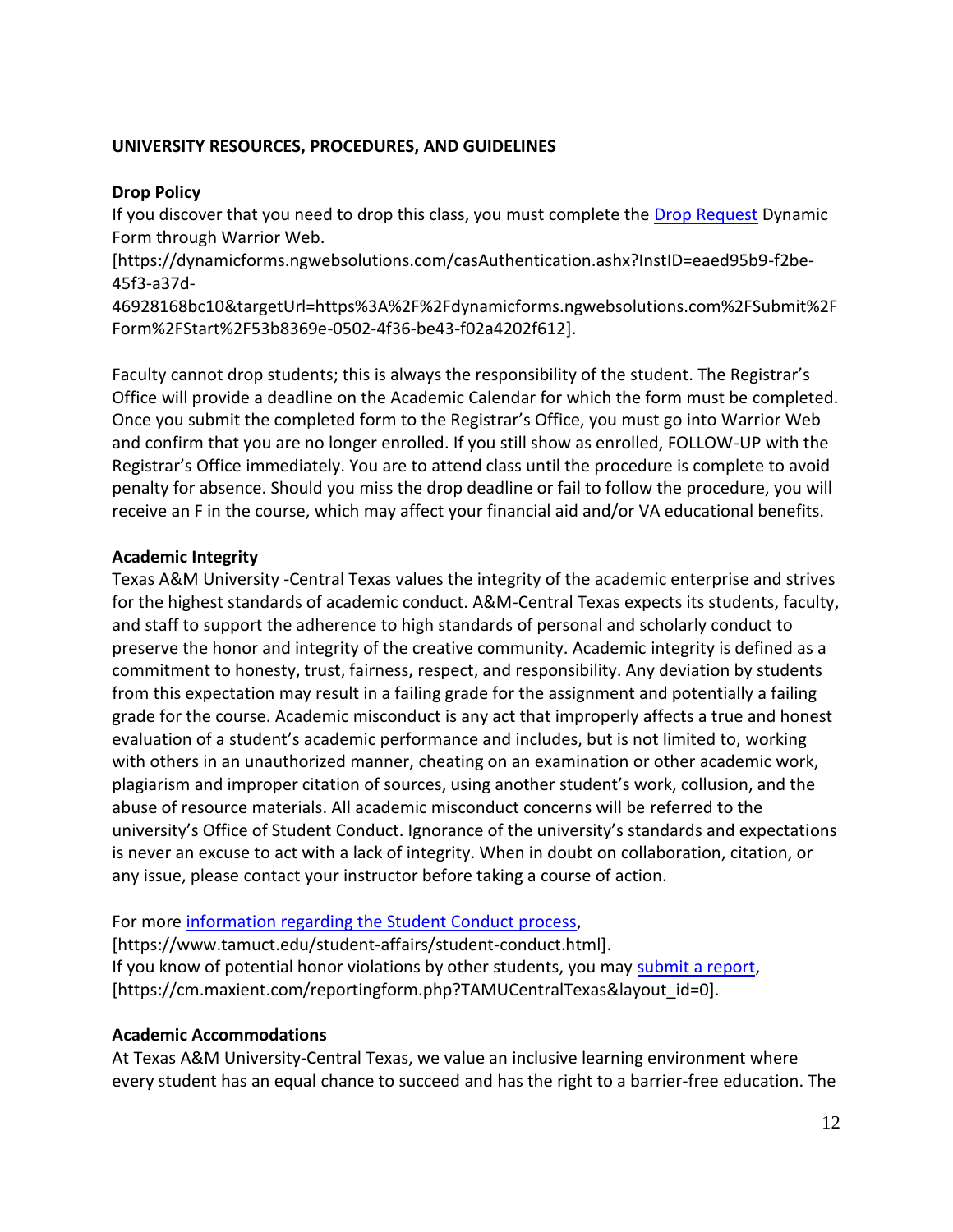#### **UNIVERSITY RESOURCES, PROCEDURES, AND GUIDELINES**

#### **Drop Policy**

If you discover that you need to drop this class, you must complete the [Drop Request](https://dynamicforms.ngwebsolutions.com/casAuthentication.ashx?InstID=eaed95b9-f2be-45f3-a37d-46928168bc10&targetUrl=https%3A%2F%2Fdynamicforms.ngwebsolutions.com%2FSubmit%2FForm%2FStart%2F53b8369e-0502-4f36-be43-f02a4202f612) Dynamic Form through Warrior Web.

[https://dynamicforms.ngwebsolutions.com/casAuthentication.ashx?InstID=eaed95b9-f2be-45f3-a37d-

46928168bc10&targetUrl=https%3A%2F%2Fdynamicforms.ngwebsolutions.com%2FSubmit%2F Form%2FStart%2F53b8369e-0502-4f36-be43-f02a4202f612].

Faculty cannot drop students; this is always the responsibility of the student. The Registrar's Office will provide a deadline on the Academic Calendar for which the form must be completed. Once you submit the completed form to the Registrar's Office, you must go into Warrior Web and confirm that you are no longer enrolled. If you still show as enrolled, FOLLOW-UP with the Registrar's Office immediately. You are to attend class until the procedure is complete to avoid penalty for absence. Should you miss the drop deadline or fail to follow the procedure, you will receive an F in the course, which may affect your financial aid and/or VA educational benefits.

# **Academic Integrity**

Texas A&M University -Central Texas values the integrity of the academic enterprise and strives for the highest standards of academic conduct. A&M-Central Texas expects its students, faculty, and staff to support the adherence to high standards of personal and scholarly conduct to preserve the honor and integrity of the creative community. Academic integrity is defined as a commitment to honesty, trust, fairness, respect, and responsibility. Any deviation by students from this expectation may result in a failing grade for the assignment and potentially a failing grade for the course. Academic misconduct is any act that improperly affects a true and honest evaluation of a student's academic performance and includes, but is not limited to, working with others in an unauthorized manner, cheating on an examination or other academic work, plagiarism and improper citation of sources, using another student's work, collusion, and the abuse of resource materials. All academic misconduct concerns will be referred to the university's Office of Student Conduct. Ignorance of the university's standards and expectations is never an excuse to act with a lack of integrity. When in doubt on collaboration, citation, or any issue, please contact your instructor before taking a course of action.

For more [information regarding the Student Conduct process,](https://www.tamuct.edu/student-affairs/student-conduct.html)

[https://www.tamuct.edu/student-affairs/student-conduct.html]. If you know of potential honor violations by other students, you may [submit a report,](https://cm.maxient.com/reportingform.php?TAMUCentralTexas&layout_id=0) [https://cm.maxient.com/reportingform.php?TAMUCentralTexas&layout\_id=0].

# **Academic Accommodations**

At Texas A&M University-Central Texas, we value an inclusive learning environment where every student has an equal chance to succeed and has the right to a barrier-free education. The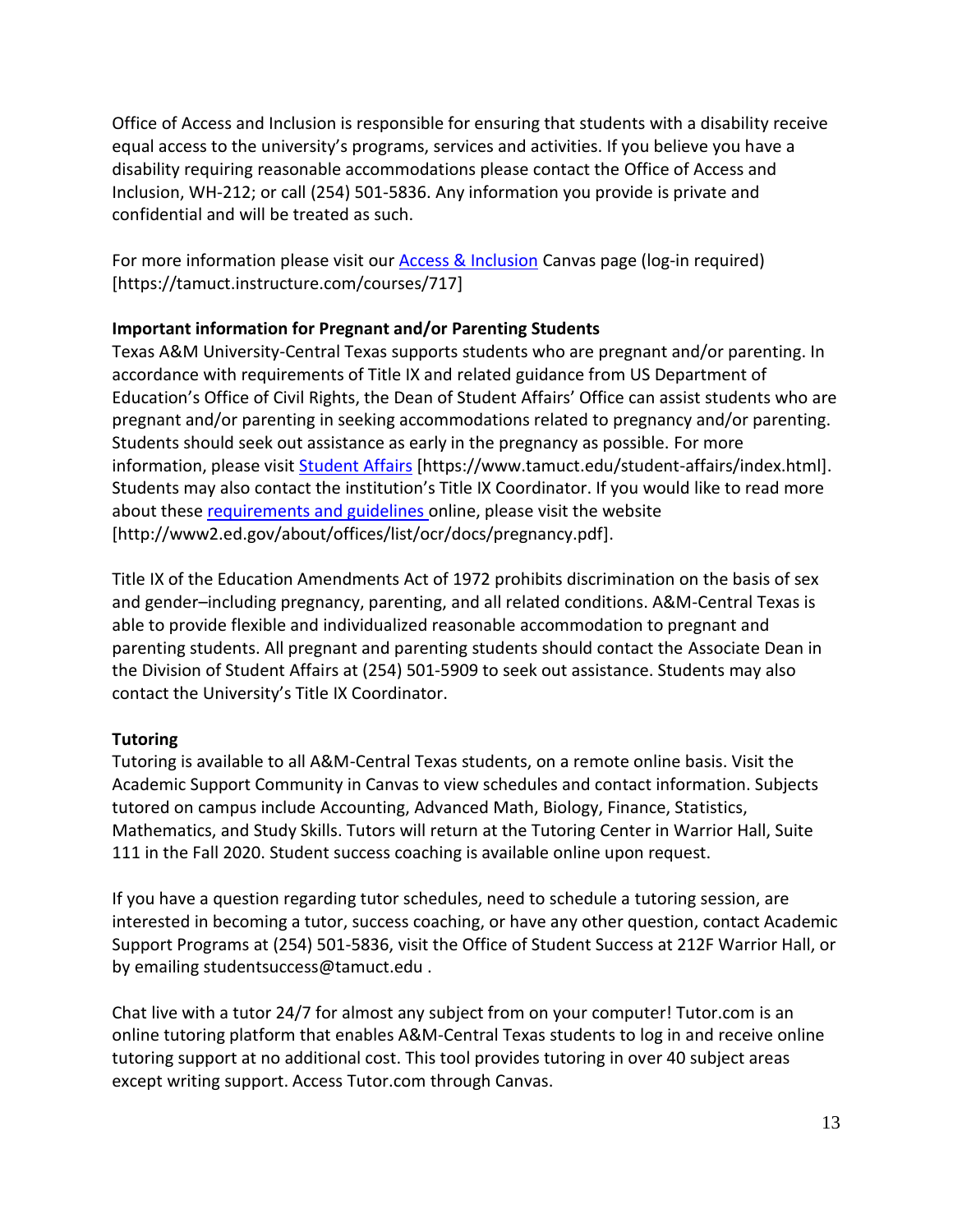Office of Access and Inclusion is responsible for ensuring that students with a disability receive equal access to the university's programs, services and activities. If you believe you have a disability requiring reasonable accommodations please contact the Office of Access and Inclusion, WH-212; or call (254) 501-5836. Any information you provide is private and confidential and will be treated as such.

For more information please visit our [Access & Inclusion](https://tamuct.instructure.com/courses/717) Canvas page (log-in required) [https://tamuct.instructure.com/courses/717]

# **Important information for Pregnant and/or Parenting Students**

Texas A&M University-Central Texas supports students who are pregnant and/or parenting. In accordance with requirements of Title IX and related guidance from US Department of Education's Office of Civil Rights, the Dean of Student Affairs' Office can assist students who are pregnant and/or parenting in seeking accommodations related to pregnancy and/or parenting. Students should seek out assistance as early in the pregnancy as possible. For more information, please visit [Student](https://www.tamuct.edu/student-affairs/index.html) Affairs [https://www.tamuct.edu/student-affairs/index.html]. Students may also contact the institution's Title IX Coordinator. If you would like to read more about these [requirements and guidelines](http://www2.ed.gov/about/offices/list/ocr/docs/pregnancy.pdf) online, please visit the website [http://www2.ed.gov/about/offices/list/ocr/docs/pregnancy.pdf].

Title IX of the Education Amendments Act of 1972 prohibits discrimination on the basis of sex and gender–including pregnancy, parenting, and all related conditions. A&M-Central Texas is able to provide flexible and individualized reasonable accommodation to pregnant and parenting students. All pregnant and parenting students should contact the Associate Dean in the Division of Student Affairs at (254) 501-5909 to seek out assistance. Students may also contact the University's Title IX Coordinator.

# **Tutoring**

Tutoring is available to all A&M-Central Texas students, on a remote online basis. Visit the Academic Support Community in Canvas to view schedules and contact information. Subjects tutored on campus include Accounting, Advanced Math, Biology, Finance, Statistics, Mathematics, and Study Skills. Tutors will return at the Tutoring Center in Warrior Hall, Suite 111 in the Fall 2020. Student success coaching is available online upon request.

If you have a question regarding tutor schedules, need to schedule a tutoring session, are interested in becoming a tutor, success coaching, or have any other question, contact Academic Support Programs at (254) 501-5836, visit the Office of Student Success at 212F Warrior Hall, or by emailing studentsuccess@tamuct.edu .

Chat live with a tutor 24/7 for almost any subject from on your computer! Tutor.com is an online tutoring platform that enables A&M-Central Texas students to log in and receive online tutoring support at no additional cost. This tool provides tutoring in over 40 subject areas except writing support. Access Tutor.com through Canvas.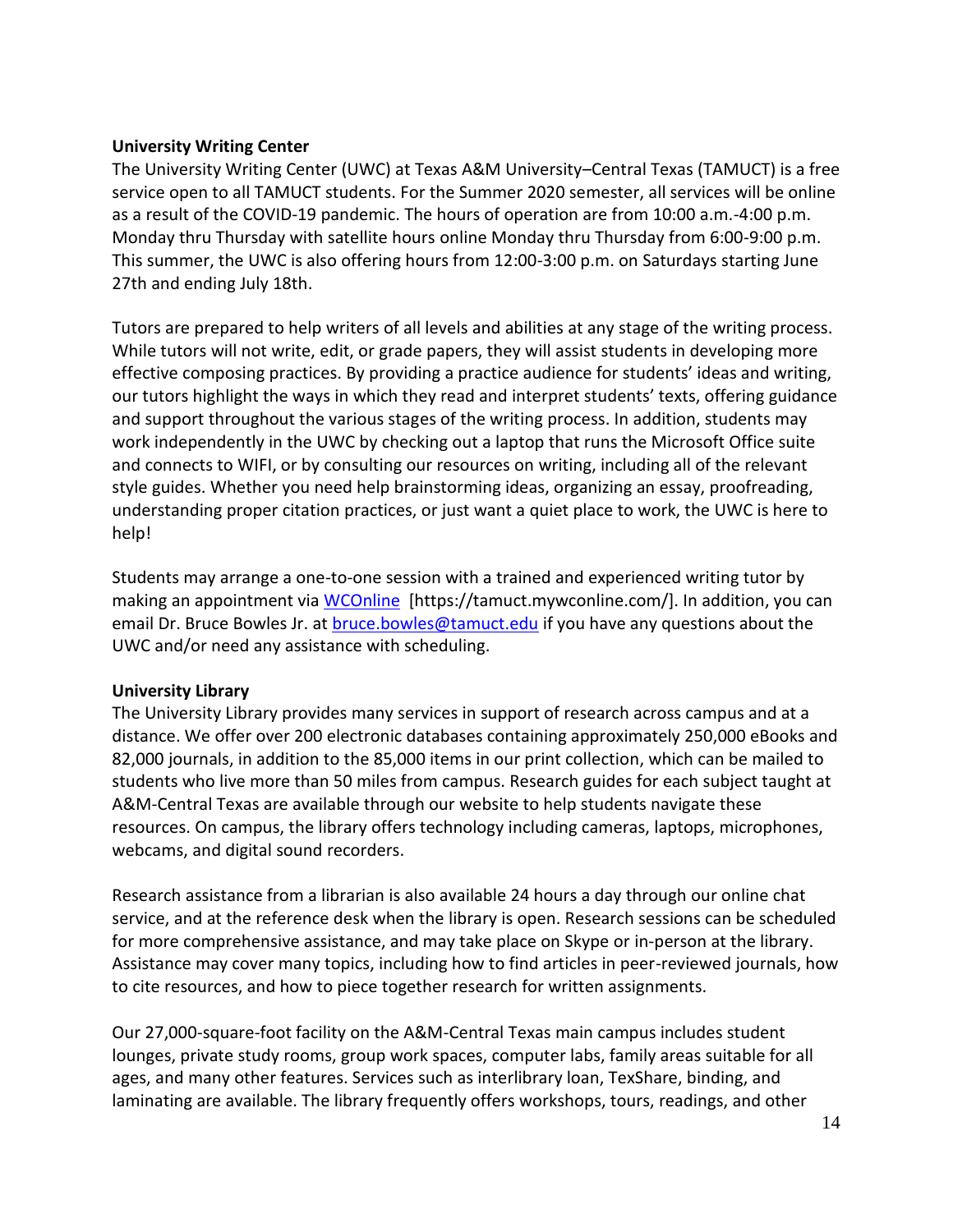#### **University Writing Center**

The University Writing Center (UWC) at Texas A&M University–Central Texas (TAMUCT) is a free service open to all TAMUCT students. For the Summer 2020 semester, all services will be online as a result of the COVID-19 pandemic. The hours of operation are from 10:00 a.m.-4:00 p.m. Monday thru Thursday with satellite hours online Monday thru Thursday from 6:00-9:00 p.m. This summer, the UWC is also offering hours from 12:00-3:00 p.m. on Saturdays starting June 27th and ending July 18th.

Tutors are prepared to help writers of all levels and abilities at any stage of the writing process. While tutors will not write, edit, or grade papers, they will assist students in developing more effective composing practices. By providing a practice audience for students' ideas and writing, our tutors highlight the ways in which they read and interpret students' texts, offering guidance and support throughout the various stages of the writing process. In addition, students may work independently in the UWC by checking out a laptop that runs the Microsoft Office suite and connects to WIFI, or by consulting our resources on writing, including all of the relevant style guides. Whether you need help brainstorming ideas, organizing an essay, proofreading, understanding proper citation practices, or just want a quiet place to work, the UWC is here to help!

Students may arrange a one-to-one session with a trained and experienced writing tutor by making an appointment via [WCOnline](https://tamuct.mywconline.com/) [https://tamuct.mywconline.com/]. In addition, you can email Dr. Bruce Bowles Jr. at [bruce.bowles@tamuct.edu](mailto:bruce.bowles@tamuct.edu) if you have any questions about the UWC and/or need any assistance with scheduling.

#### **University Library**

The University Library provides many services in support of research across campus and at a distance. We offer over 200 electronic databases containing approximately 250,000 eBooks and 82,000 journals, in addition to the 85,000 items in our print collection, which can be mailed to students who live more than 50 miles from campus. Research guides for each subject taught at A&M-Central Texas are available through our website to help students navigate these resources. On campus, the library offers technology including cameras, laptops, microphones, webcams, and digital sound recorders.

Research assistance from a librarian is also available 24 hours a day through our online chat service, and at the reference desk when the library is open. Research sessions can be scheduled for more comprehensive assistance, and may take place on Skype or in-person at the library. Assistance may cover many topics, including how to find articles in peer-reviewed journals, how to cite resources, and how to piece together research for written assignments.

Our 27,000-square-foot facility on the A&M-Central Texas main campus includes student lounges, private study rooms, group work spaces, computer labs, family areas suitable for all ages, and many other features. Services such as interlibrary loan, TexShare, binding, and laminating are available. The library frequently offers workshops, tours, readings, and other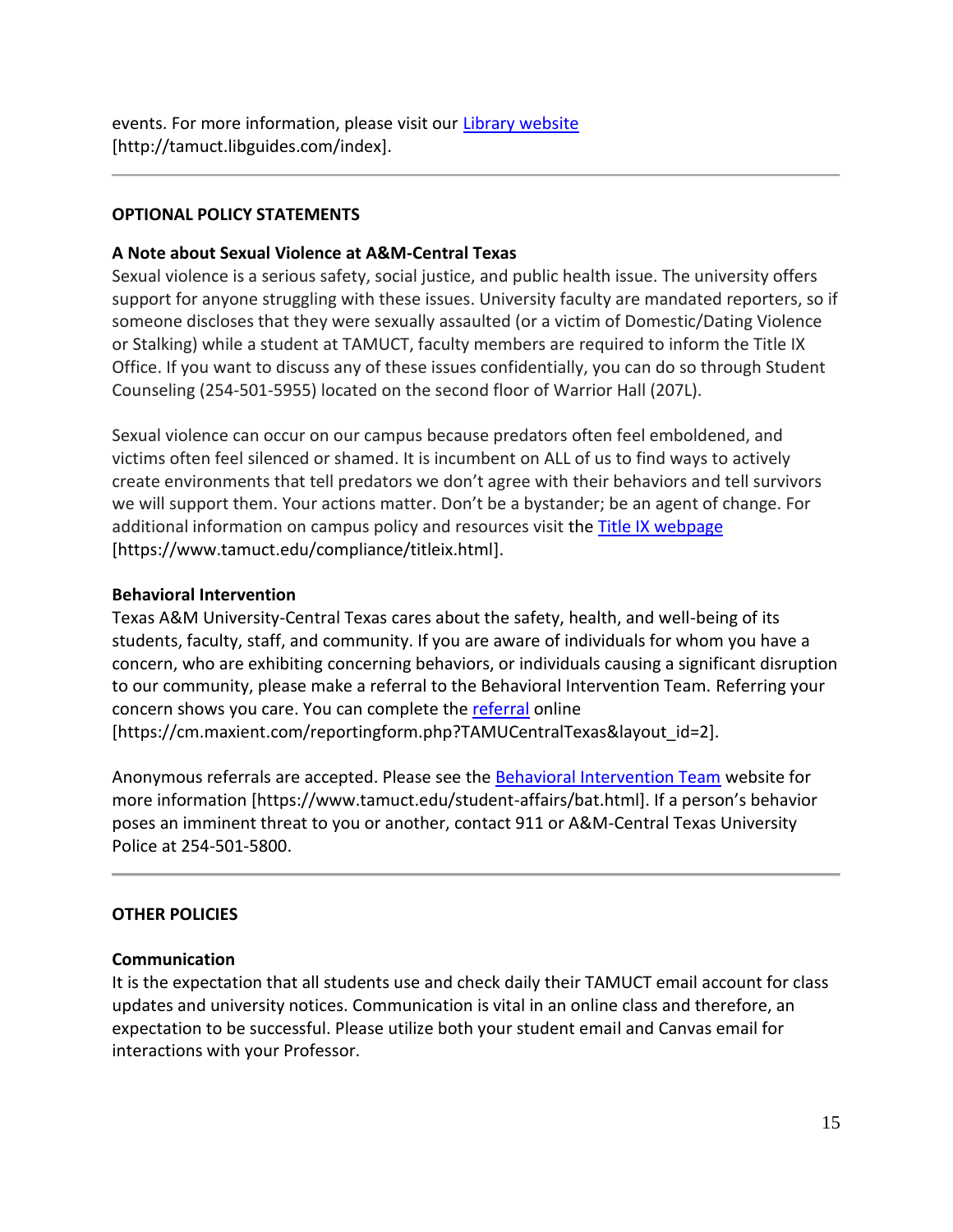events. For more information, please visit our [Library website](https://tamuct.libguides.com/index) [http://tamuct.libguides.com/index].

# **OPTIONAL POLICY STATEMENTS**

# **A Note about Sexual Violence at A&M-Central Texas**

Sexual violence is a serious safety, social justice, and public health issue. The university offers support for anyone struggling with these issues. University faculty are mandated reporters, so if someone discloses that they were sexually assaulted (or a victim of Domestic/Dating Violence or Stalking) while a student at TAMUCT, faculty members are required to inform the Title IX Office. If you want to discuss any of these issues confidentially, you can do so through Student Counseling (254-501-5955) located on the second floor of Warrior Hall (207L).

Sexual violence can occur on our campus because predators often feel emboldened, and victims often feel silenced or shamed. It is incumbent on ALL of us to find ways to actively create environments that tell predators we don't agree with their behaviors and tell survivors we will support them. Your actions matter. Don't be a bystander; be an agent of change. For additional information on campus policy and resources visit the [Title IX webpage](https://www.tamuct.edu/compliance/titleix.html) [\[https://www.tamuct.edu/compliance/titleix.html\]](https://www.tamuct.edu/compliance/titleix.html).

#### **Behavioral Intervention**

Texas A&M University-Central Texas cares about the safety, health, and well-being of its students, faculty, staff, and community. If you are aware of individuals for whom you have a concern, who are exhibiting concerning behaviors, or individuals causing a significant disruption to our community, please make a referral to the Behavioral Intervention Team. Referring your concern shows you care. You can complete the [referral](https://cm.maxient.com/reportingform.php?TAMUCentralTexas&layout_id=2) online [https://cm.maxient.com/reportingform.php?TAMUCentralTexas&layout\_id=2].

Anonymous referrals are accepted. Please see the [Behavioral Intervention Team](https://www.tamuct.edu/student-affairs/bat.html) website for more information [https://www.tamuct.edu/student-affairs/bat.html]. If a person's behavior poses an imminent threat to you or another, contact 911 or A&M-Central Texas University Police at 254-501-5800.

# **OTHER POLICIES**

#### **Communication**

It is the expectation that all students use and check daily their TAMUCT email account for class updates and university notices. Communication is vital in an online class and therefore, an expectation to be successful. Please utilize both your student email and Canvas email for interactions with your Professor.